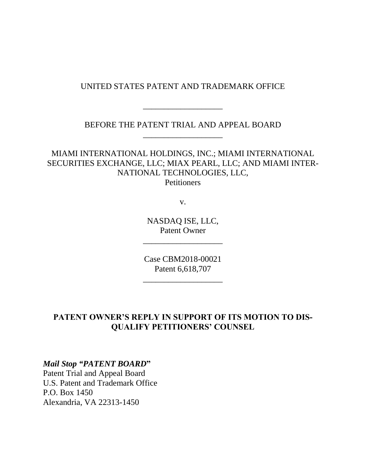#### UNITED STATES PATENT AND TRADEMARK OFFICE

BEFORE THE PATENT TRIAL AND APPEAL BOARD \_\_\_\_\_\_\_\_\_\_\_\_\_\_\_\_\_\_\_

\_\_\_\_\_\_\_\_\_\_\_\_\_\_\_\_\_\_\_

MIAMI INTERNATIONAL HOLDINGS, INC.; MIAMI INTERNATIONAL SECURITIES EXCHANGE, LLC; MIAX PEARL, LLC; AND MIAMI INTER-NATIONAL TECHNOLOGIES, LLC, **Petitioners** 

v.

NASDAQ ISE, LLC, Patent Owner

\_\_\_\_\_\_\_\_\_\_\_\_\_\_\_\_\_\_\_

Case CBM2018-00021 Patent 6,618,707

\_\_\_\_\_\_\_\_\_\_\_\_\_\_\_\_\_\_\_

## **PATENT OWNER'S REPLY IN SUPPORT OF ITS MOTION TO DIS-QUALIFY PETITIONERS' COUNSEL**

*Mail Stop "PATENT BOARD***"**

Patent Trial and Appeal Board U.S. Patent and Trademark Office P.O. Box 1450 Alexandria, VA 22313-1450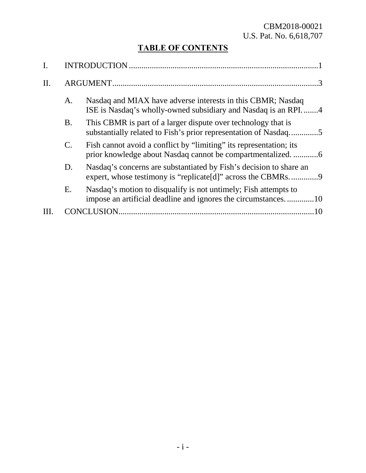## CBM2018-00021 U.S. Pat. No. 6,618,707

# **TABLE OF CONTENTS**

| <b>INTRODUCTION</b> |                                                                                                                                  |
|---------------------|----------------------------------------------------------------------------------------------------------------------------------|
| ARGUMENT.           |                                                                                                                                  |
| A.                  | Nasdaq and MIAX have adverse interests in this CBMR; Nasdaq<br>ISE is Nasdaq's wholly-owned subsidiary and Nasdaq is an RPI4     |
| Β.                  | This CBMR is part of a larger dispute over technology that is<br>substantially related to Fish's prior representation of Nasdaq5 |
| $\mathbf{C}$ .      | Fish cannot avoid a conflict by "limiting" its representation; its                                                               |
| D.                  | Nasdaq's concerns are substantiated by Fish's decision to share an                                                               |
| Ε.                  | Nasdaq's motion to disqualify is not untimely; Fish attempts to<br>impose an artificial deadline and ignores the circumstances10 |
|                     |                                                                                                                                  |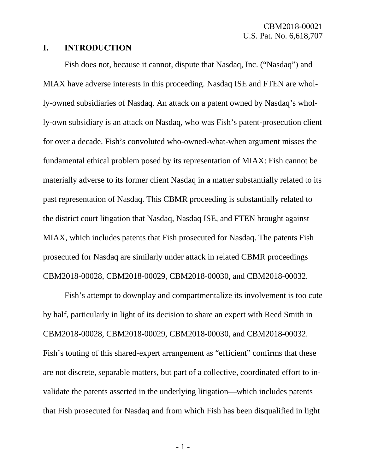#### <span id="page-2-0"></span>**I. INTRODUCTION**

Fish does not, because it cannot, dispute that Nasdaq, Inc. ("Nasdaq") and MIAX have adverse interests in this proceeding. Nasdaq ISE and FTEN are wholly-owned subsidiaries of Nasdaq. An attack on a patent owned by Nasdaq's wholly-own subsidiary is an attack on Nasdaq, who was Fish's patent-prosecution client for over a decade. Fish's convoluted who-owned-what-when argument misses the fundamental ethical problem posed by its representation of MIAX: Fish cannot be materially adverse to its former client Nasdaq in a matter substantially related to its past representation of Nasdaq. This CBMR proceeding is substantially related to the district court litigation that Nasdaq, Nasdaq ISE, and FTEN brought against MIAX, which includes patents that Fish prosecuted for Nasdaq. The patents Fish prosecuted for Nasdaq are similarly under attack in related CBMR proceedings CBM2018-00028, CBM2018-00029, CBM2018-00030, and CBM2018-00032.

Fish's attempt to downplay and compartmentalize its involvement is too cute by half, particularly in light of its decision to share an expert with Reed Smith in CBM2018-00028, CBM2018-00029, CBM2018-00030, and CBM2018-00032. Fish's touting of this shared-expert arrangement as "efficient" confirms that these are not discrete, separable matters, but part of a collective, coordinated effort to invalidate the patents asserted in the underlying litigation—which includes patents that Fish prosecuted for Nasdaq and from which Fish has been disqualified in light

- 1 -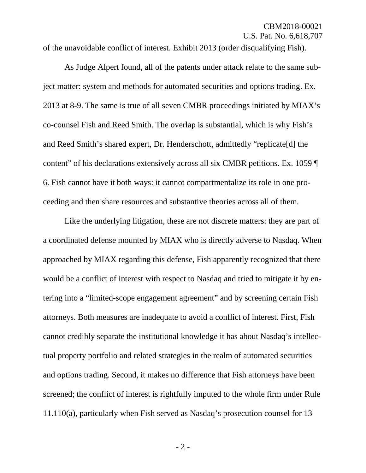of the unavoidable conflict of interest. Exhibit 2013 (order disqualifying Fish).

As Judge Alpert found, all of the patents under attack relate to the same subject matter: system and methods for automated securities and options trading. Ex. 2013 at 8-9. The same is true of all seven CMBR proceedings initiated by MIAX's co-counsel Fish and Reed Smith. The overlap is substantial, which is why Fish's and Reed Smith's shared expert, Dr. Henderschott, admittedly "replicate[d] the content" of his declarations extensively across all six CMBR petitions. Ex. 1059 ¶ 6. Fish cannot have it both ways: it cannot compartmentalize its role in one proceeding and then share resources and substantive theories across all of them.

Like the underlying litigation, these are not discrete matters: they are part of a coordinated defense mounted by MIAX who is directly adverse to Nasdaq. When approached by MIAX regarding this defense, Fish apparently recognized that there would be a conflict of interest with respect to Nasdaq and tried to mitigate it by entering into a "limited-scope engagement agreement" and by screening certain Fish attorneys. Both measures are inadequate to avoid a conflict of interest. First, Fish cannot credibly separate the institutional knowledge it has about Nasdaq's intellectual property portfolio and related strategies in the realm of automated securities and options trading. Second, it makes no difference that Fish attorneys have been screened; the conflict of interest is rightfully imputed to the whole firm under Rule 11.110(a), particularly when Fish served as Nasdaq's prosecution counsel for 13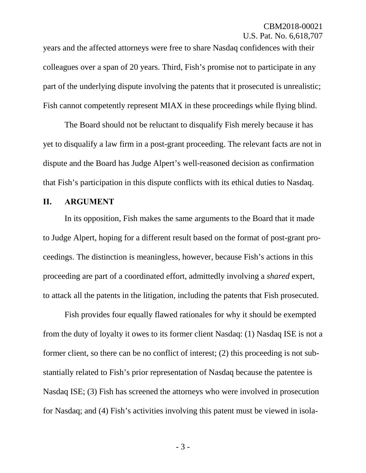years and the affected attorneys were free to share Nasdaq confidences with their colleagues over a span of 20 years. Third, Fish's promise not to participate in any part of the underlying dispute involving the patents that it prosecuted is unrealistic; Fish cannot competently represent MIAX in these proceedings while flying blind.

The Board should not be reluctant to disqualify Fish merely because it has yet to disqualify a law firm in a post-grant proceeding. The relevant facts are not in dispute and the Board has Judge Alpert's well-reasoned decision as confirmation that Fish's participation in this dispute conflicts with its ethical duties to Nasdaq.

#### <span id="page-4-0"></span>**II. ARGUMENT**

In its opposition, Fish makes the same arguments to the Board that it made to Judge Alpert, hoping for a different result based on the format of post-grant proceedings. The distinction is meaningless, however, because Fish's actions in this proceeding are part of a coordinated effort, admittedly involving a *shared* expert, to attack all the patents in the litigation, including the patents that Fish prosecuted.

Fish provides four equally flawed rationales for why it should be exempted from the duty of loyalty it owes to its former client Nasdaq: (1) Nasdaq ISE is not a former client, so there can be no conflict of interest; (2) this proceeding is not substantially related to Fish's prior representation of Nasdaq because the patentee is Nasdaq ISE; (3) Fish has screened the attorneys who were involved in prosecution for Nasdaq; and (4) Fish's activities involving this patent must be viewed in isola-

- 3 -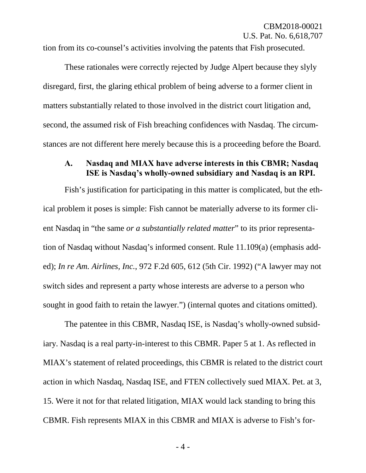tion from its co-counsel's activities involving the patents that Fish prosecuted.

These rationales were correctly rejected by Judge Alpert because they slyly disregard, first, the glaring ethical problem of being adverse to a former client in matters substantially related to those involved in the district court litigation and, second, the assumed risk of Fish breaching confidences with Nasdaq. The circumstances are not different here merely because this is a proceeding before the Board.

#### <span id="page-5-0"></span>**A. Nasdaq and MIAX have adverse interests in this CBMR; Nasdaq ISE is Nasdaq's wholly-owned subsidiary and Nasdaq is an RPI.**

Fish's justification for participating in this matter is complicated, but the ethical problem it poses is simple: Fish cannot be materially adverse to its former client Nasdaq in "the same *or a substantially related matter*" to its prior representation of Nasdaq without Nasdaq's informed consent. Rule 11.109(a) (emphasis added); *In re Am. Airlines, Inc.*, 972 F.2d 605, 612 (5th Cir. 1992) ("A lawyer may not switch sides and represent a party whose interests are adverse to a person who sought in good faith to retain the lawyer.") (internal quotes and citations omitted).

The patentee in this CBMR, Nasdaq ISE, is Nasdaq's wholly-owned subsidiary. Nasdaq is a real party-in-interest to this CBMR. Paper 5 at 1. As reflected in MIAX's statement of related proceedings, this CBMR is related to the district court action in which Nasdaq, Nasdaq ISE, and FTEN collectively sued MIAX. Pet. at 3, 15. Were it not for that related litigation, MIAX would lack standing to bring this CBMR. Fish represents MIAX in this CBMR and MIAX is adverse to Fish's for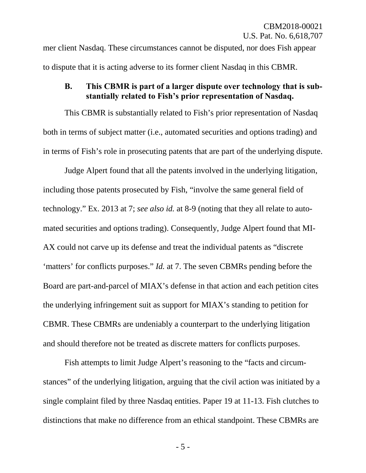mer client Nasdaq. These circumstances cannot be disputed, nor does Fish appear to dispute that it is acting adverse to its former client Nasdaq in this CBMR.

#### <span id="page-6-0"></span>**B. This CBMR is part of a larger dispute over technology that is substantially related to Fish's prior representation of Nasdaq.**

This CBMR is substantially related to Fish's prior representation of Nasdaq both in terms of subject matter (i.e., automated securities and options trading) and in terms of Fish's role in prosecuting patents that are part of the underlying dispute.

Judge Alpert found that all the patents involved in the underlying litigation, including those patents prosecuted by Fish, "involve the same general field of technology." Ex. 2013 at 7; *see also id.* at 8-9 (noting that they all relate to automated securities and options trading). Consequently, Judge Alpert found that MI-AX could not carve up its defense and treat the individual patents as "discrete 'matters' for conflicts purposes." *Id.* at 7. The seven CBMRs pending before the Board are part-and-parcel of MIAX's defense in that action and each petition cites the underlying infringement suit as support for MIAX's standing to petition for CBMR. These CBMRs are undeniably a counterpart to the underlying litigation and should therefore not be treated as discrete matters for conflicts purposes.

Fish attempts to limit Judge Alpert's reasoning to the "facts and circumstances" of the underlying litigation, arguing that the civil action was initiated by a single complaint filed by three Nasdaq entities. Paper 19 at 11-13. Fish clutches to distinctions that make no difference from an ethical standpoint. These CBMRs are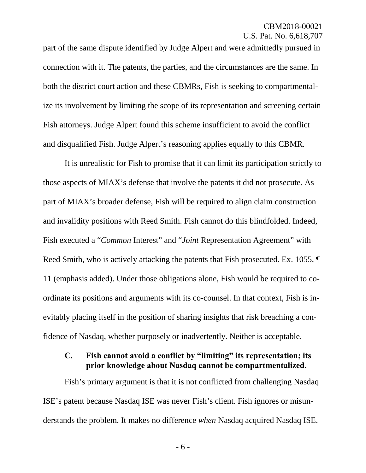part of the same dispute identified by Judge Alpert and were admittedly pursued in connection with it. The patents, the parties, and the circumstances are the same. In both the district court action and these CBMRs, Fish is seeking to compartmentalize its involvement by limiting the scope of its representation and screening certain Fish attorneys. Judge Alpert found this scheme insufficient to avoid the conflict and disqualified Fish. Judge Alpert's reasoning applies equally to this CBMR.

It is unrealistic for Fish to promise that it can limit its participation strictly to those aspects of MIAX's defense that involve the patents it did not prosecute. As part of MIAX's broader defense, Fish will be required to align claim construction and invalidity positions with Reed Smith. Fish cannot do this blindfolded. Indeed, Fish executed a "*Common* Interest" and "*Joint* Representation Agreement" with Reed Smith, who is actively attacking the patents that Fish prosecuted. Ex. 1055, ¶ 11 (emphasis added). Under those obligations alone, Fish would be required to coordinate its positions and arguments with its co-counsel. In that context, Fish is inevitably placing itself in the position of sharing insights that risk breaching a confidence of Nasdaq, whether purposely or inadvertently. Neither is acceptable.

#### <span id="page-7-0"></span>**C. Fish cannot avoid a conflict by "limiting" its representation; its prior knowledge about Nasdaq cannot be compartmentalized.**

Fish's primary argument is that it is not conflicted from challenging Nasdaq ISE's patent because Nasdaq ISE was never Fish's client. Fish ignores or misunderstands the problem. It makes no difference *when* Nasdaq acquired Nasdaq ISE.

- 6 -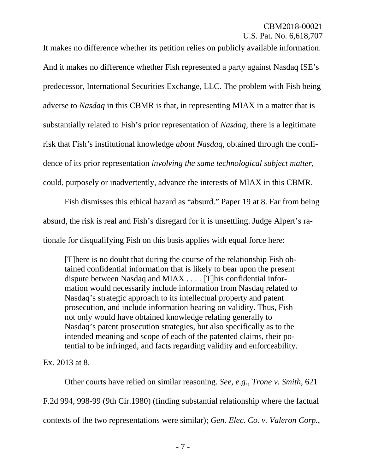It makes no difference whether its petition relies on publicly available information. And it makes no difference whether Fish represented a party against Nasdaq ISE's predecessor, International Securities Exchange, LLC. The problem with Fish being adverse to *Nasdaq* in this CBMR is that, in representing MIAX in a matter that is substantially related to Fish's prior representation of *Nasdaq*, there is a legitimate risk that Fish's institutional knowledge *about Nasdaq*, obtained through the confidence of its prior representation *involving the same technological subject matter*, could, purposely or inadvertently, advance the interests of MIAX in this CBMR.

Fish dismisses this ethical hazard as "absurd." Paper 19 at 8. Far from being absurd, the risk is real and Fish's disregard for it is unsettling. Judge Alpert's rationale for disqualifying Fish on this basis applies with equal force here:

[T]here is no doubt that during the course of the relationship Fish obtained confidential information that is likely to bear upon the present dispute between Nasdaq and MIAX . . . . [T]his confidential information would necessarily include information from Nasdaq related to Nasdaq's strategic approach to its intellectual property and patent prosecution, and include information bearing on validity. Thus, Fish not only would have obtained knowledge relating generally to Nasdaq's patent prosecution strategies, but also specifically as to the intended meaning and scope of each of the patented claims, their potential to be infringed, and facts regarding validity and enforceability.

Ex. 2013 at 8.

Other courts have relied on similar reasoning. *See, e.g.*, *Trone v. Smith*, 621 F.2d 994, 998-99 (9th Cir.1980) (finding substantial relationship where the factual contexts of the two representations were similar); *Gen. Elec. Co. v. Valeron Corp.*,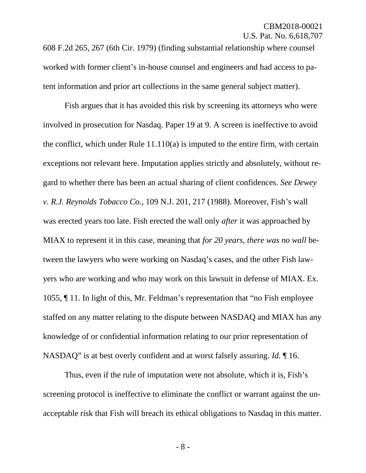608 F.2d 265, 267 (6th Cir. 1979) (finding substantial relationship where counsel worked with former client's in-house counsel and engineers and had access to patent information and prior art collections in the same general subject matter).

Fish argues that it has avoided this risk by screening its attorneys who were involved in prosecution for Nasdaq. Paper 19 at 9. A screen is ineffective to avoid the conflict, which under Rule 11.110(a) is imputed to the entire firm, with certain exceptions not relevant here. Imputation applies strictly and absolutely, without regard to whether there has been an actual sharing of client confidences. *See Dewey v. R.J. Reynolds Tobacco Co.*, 109 N.J. 201, 217 (1988). Moreover, Fish's wall was erected years too late. Fish erected the wall only *after* it was approached by MIAX to represent it in this case, meaning that *for 20 years, there was no wall* between the lawyers who were working on Nasdaq's cases, and the other Fish lawyers who are working and who may work on this lawsuit in defense of MIAX. Ex. 1055, ¶ 11. In light of this, Mr. Feldman's representation that "no Fish employee staffed on any matter relating to the dispute between NASDAQ and MIAX has any knowledge of or confidential information relating to our prior representation of NASDAQ" is at best overly confident and at worst falsely assuring. *Id.* ¶ 16.

Thus, even if the rule of imputation were not absolute, which it is, Fish's screening protocol is ineffective to eliminate the conflict or warrant against the unacceptable risk that Fish will breach its ethical obligations to Nasdaq in this matter.

- 8 -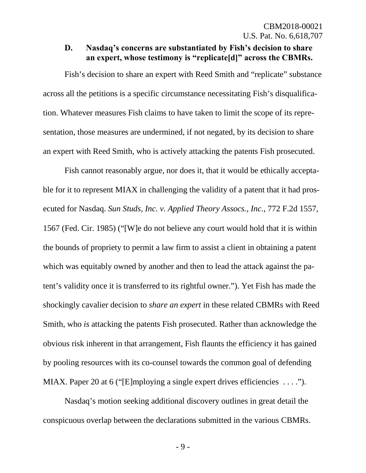#### <span id="page-10-0"></span>**D. Nasdaq's concerns are substantiated by Fish's decision to share an expert, whose testimony is "replicate[d]" across the CBMRs.**

Fish's decision to share an expert with Reed Smith and "replicate" substance across all the petitions is a specific circumstance necessitating Fish's disqualification. Whatever measures Fish claims to have taken to limit the scope of its representation, those measures are undermined, if not negated, by its decision to share an expert with Reed Smith, who is actively attacking the patents Fish prosecuted.

Fish cannot reasonably argue, nor does it, that it would be ethically acceptable for it to represent MIAX in challenging the validity of a patent that it had prosecuted for Nasdaq. *Sun Studs, Inc. v. Applied Theory Assocs., Inc.*, 772 F.2d 1557, 1567 (Fed. Cir. 1985) ("[W]e do not believe any court would hold that it is within the bounds of propriety to permit a law firm to assist a client in obtaining a patent which was equitably owned by another and then to lead the attack against the patent's validity once it is transferred to its rightful owner."). Yet Fish has made the shockingly cavalier decision to *share an expert* in these related CBMRs with Reed Smith, who *is* attacking the patents Fish prosecuted. Rather than acknowledge the obvious risk inherent in that arrangement, Fish flaunts the efficiency it has gained by pooling resources with its co-counsel towards the common goal of defending MIAX. Paper 20 at 6 ("[E]mploying a single expert drives efficiencies . . . .").

Nasdaq's motion seeking additional discovery outlines in great detail the conspicuous overlap between the declarations submitted in the various CBMRs.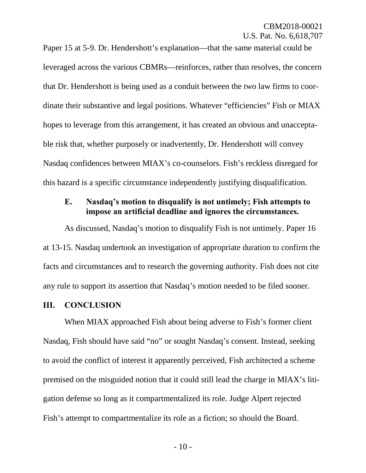Paper 15 at 5-9. Dr. Hendershott's explanation—that the same material could be leveraged across the various CBMRs—reinforces, rather than resolves, the concern that Dr. Hendershott is being used as a conduit between the two law firms to coordinate their substantive and legal positions. Whatever "efficiencies" Fish or MIAX hopes to leverage from this arrangement, it has created an obvious and unacceptable risk that, whether purposely or inadvertently, Dr. Hendershott will convey Nasdaq confidences between MIAX's co-counselors. Fish's reckless disregard for this hazard is a specific circumstance independently justifying disqualification.

#### <span id="page-11-0"></span>**E. Nasdaq's motion to disqualify is not untimely; Fish attempts to impose an artificial deadline and ignores the circumstances.**

As discussed, Nasdaq's motion to disqualify Fish is not untimely. Paper 16 at 13-15. Nasdaq undertook an investigation of appropriate duration to confirm the facts and circumstances and to research the governing authority. Fish does not cite any rule to support its assertion that Nasdaq's motion needed to be filed sooner.

#### <span id="page-11-1"></span>**III. CONCLUSION**

When MIAX approached Fish about being adverse to Fish's former client Nasdaq, Fish should have said "no" or sought Nasdaq's consent. Instead, seeking to avoid the conflict of interest it apparently perceived, Fish architected a scheme premised on the misguided notion that it could still lead the charge in MIAX's litigation defense so long as it compartmentalized its role. Judge Alpert rejected Fish's attempt to compartmentalize its role as a fiction; so should the Board.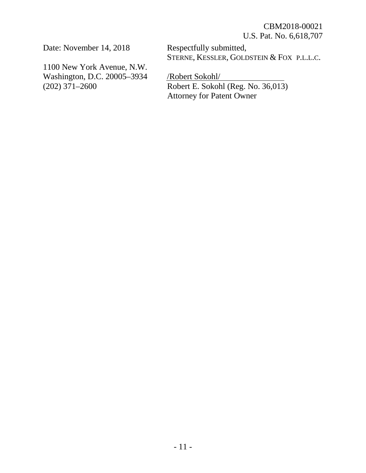Date: November 14, 2018

1100 New York Avenue, N.W. Washington, D.C. 20005–3934 (202) 371–2600

Respectfully submitted, STERNE, KESSLER, GOLDSTEIN & FOX P.L.L.C.

/Robert Sokohl/ Robert E. Sokohl (Reg. No. 36,013) Attorney for Patent Owner